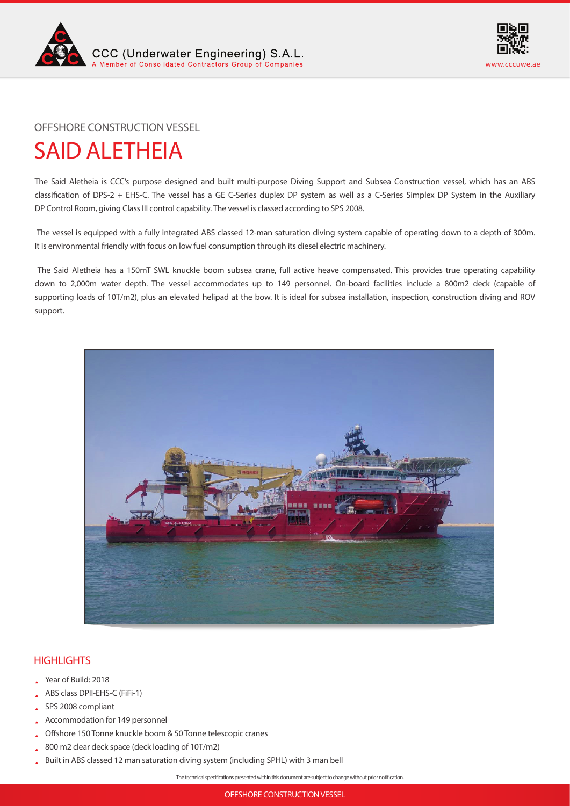



OFFSHORE CONSTRUCTION VESSEL

# SAID ALETHEIA

The Said Aletheia is CCC's purpose designed and built multi-purpose Diving Support and Subsea Construction vessel, which has an ABS classification of DPS-2 + EHS-C. The vessel has a GE C-Series duplex DP system as well as a C-Series Simplex DP System in the Auxiliary DP Control Room, giving Class III control capability. The vessel is classed according to SPS 2008.

 The vessel is equipped with a fully integrated ABS classed 12-man saturation diving system capable of operating down to a depth of 300m. It is environmental friendly with focus on low fuel consumption through its diesel electric machinery.

 The Said Aletheia has a 150mT SWL knuckle boom subsea crane, full active heave compensated. This provides true operating capability down to 2,000m water depth. The vessel accommodates up to 149 personnel. On-board facilities include a 800m2 deck (capable of supporting loads of 10T/m2), plus an elevated helipad at the bow. It is ideal for subsea installation, inspection, construction diving and ROV support.



# **HIGHLIGHTS**

- Year of Build: 2018
- ABS class DPII-EHS-C (FiFi-1)
- SPS 2008 compliant
- Accommodation for 149 personnel
- Offshore 150 Tonne knuckle boom & 50 Tonne telescopic cranes
- 800 m2 clear deck space (deck loading of 10T/m2)
- Built in ABS classed 12 man saturation diving system (including SPHL) with 3 man bell